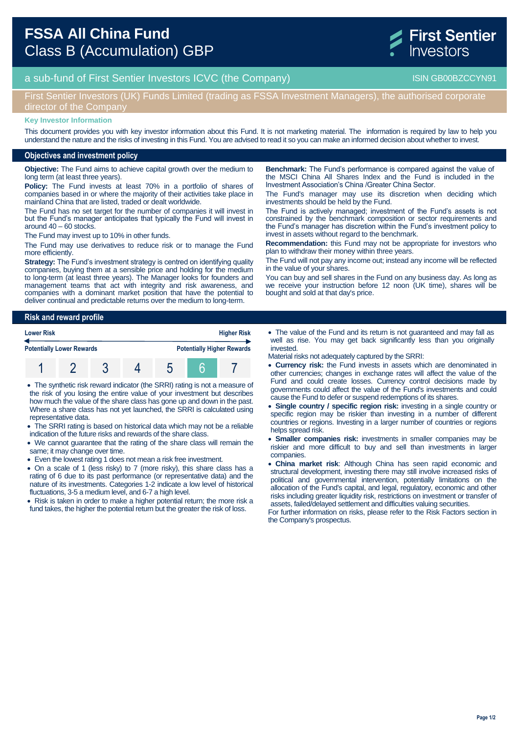

a sub-fund of First Sentier Investors ICVC (the Company) and the Company ISIN GB00BZCCYN91

## First Sentier Investors (UK) Funds Limited (trading as FSSA Investment Managers), the authorised corporate director of the Company

#### **Key Investor Information**

This document provides you with key investor information about this Fund. It is not marketing material. The information is required by law to help you understand the nature and the risks of investing in this Fund. You are advised to read it so you can make an informed decision about whether to invest.

#### **Objectives and investment policy**

**Objective:** The Fund aims to achieve capital growth over the medium to long term (at least three years).

**Policy:** The Fund invests at least 70% in a portfolio of shares of companies based in or where the majority of their activities take place in mainland China that are listed, traded or dealt worldwide.

The Fund has no set target for the number of companies it will invest in but the Fund's manager anticipates that typically the Fund will invest in around 40 – 60 stocks.

The Fund may invest up to 10% in other funds.

The Fund may use derivatives to reduce risk or to manage the Fund more efficiently.

**Strategy:** The Fund's investment strategy is centred on identifying quality companies, buying them at a sensible price and holding for the medium to long-term (at least three years). The Manager looks for founders and management teams that act with integrity and risk awareness, and companies with a dominant market position that have the potential to deliver continual and predictable returns over the medium to long-term.

**Risk and reward profile Lower Risk Higher Risk Potentially Lower Rewards Potentially Higher Rewards** 1 2 3 4 5 6 7

 The synthetic risk reward indicator (the SRRI) rating is not a measure of the risk of you losing the entire value of your investment but describes how much the value of the share class has gone up and down in the past. Where a share class has not yet launched, the SRRI is calculated using representative data.

- The SRRI rating is based on historical data which may not be a reliable indication of the future risks and rewards of the share class.
- We cannot guarantee that the rating of the share class will remain the same; it may change over time.
- Even the lowest rating 1 does not mean a risk free investment.
- On a scale of 1 (less risky) to 7 (more risky), this share class has a rating of 6 due to its past performance (or representative data) and the nature of its investments. Categories 1-2 indicate a low level of historical fluctuations, 3-5 a medium level, and 6-7 a high level.

• Risk is taken in order to make a higher potential return; the more risk a fund takes, the higher the potential return but the greater the risk of loss.

**Benchmark:** The Fund's performance is compared against the value of the MSCI China All Shares Index and the Fund is included in the Investment Association's China /Greater China Sector.

The Fund's manager may use its discretion when deciding which investments should be held by the Fund.

The Fund is actively managed; investment of the Fund's assets is not constrained by the benchmark composition or sector requirements and the Fund's manager has discretion within the Fund's investment policy to invest in assets without regard to the benchmark.

**Recommendation:** this Fund may not be appropriate for investors who plan to withdraw their money within three years.

The Fund will not pay any income out; instead any income will be reflected in the value of your shares.

You can buy and sell shares in the Fund on any business day. As long as we receive your instruction before 12 noon (UK time), shares will be bought and sold at that day's price.

- The value of the Fund and its return is not guaranteed and may fall as well as rise. You may get back significantly less than you originally invested.
- Material risks not adequately captured by the SRRI:
- **Currency risk:** the Fund invests in assets which are denominated in other currencies; changes in exchange rates will affect the value of the Fund and could create losses. Currency control decisions made by governments could affect the value of the Fund's investments and could cause the Fund to defer or suspend redemptions of its shares.
- **Single country / specific region risk:** investing in a single country or specific region may be riskier than investing in a number of different countries or regions. Investing in a larger number of countries or regions helps spread risk.
- **Smaller companies risk:** investments in smaller companies may be riskier and more difficult to buy and sell than investments in larger companies.
- **China market risk**: Although China has seen rapid economic and structural development, investing there may still involve increased risks of political and governmental intervention, potentially limitations on the allocation of the Fund's capital, and legal, regulatory, economic and other risks including greater liquidity risk, restrictions on investment or transfer of assets, failed/delayed settlement and difficulties valuing securities.

For further information on risks, please refer to the Risk Factors section in the Company's prospectus.